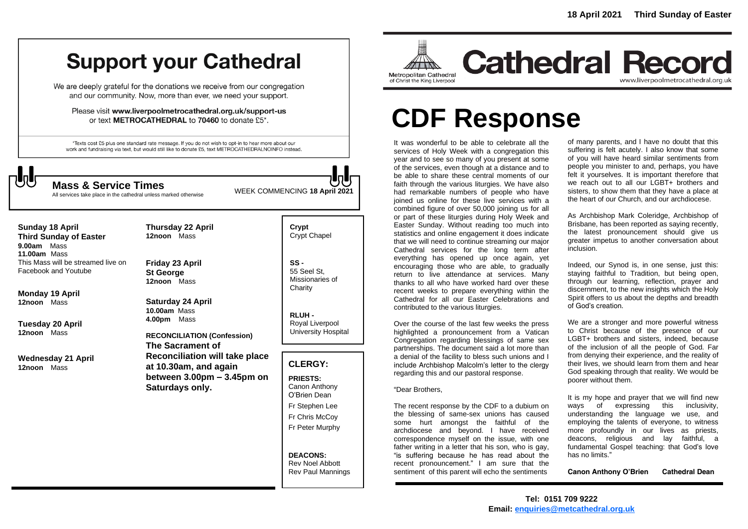## **Support your Cathedral**

We are deeply grateful for the donations we receive from our congregation and our community. Now, more than ever, we need your support.

Please visit www.liverpoolmetrocathedral.org.uk/support-us or text METROCATHEDRAL to 70460 to donate £5\*.

\*Texts cost £5 plus one standard rate message. If you do not wish to opt-in to hear more about our work and fundraising via text, but would still like to donate £5, text METROCATHEDRALNOINFO instead.



WEEK COMMENCING **18 April <sup>2021</sup> Mass & Service Times**

All services take place in the cathedral unless marked otherwise

**Sunday 18 April Third Sunday of Easter 9.00am** Mass **11.00am** Mass This Mass will be streamed live on Facebook and Youtube

**Monday 19 April 12noon** Mass

**Tuesday 20 April 12noon** Mass

**Wednesday 21 April 12noon** Mass

**12noon** Mass **Friday 23 April St George 12noon** Mass

**Thursday 22 April**

**Saturday 24 April 10.00am** Mass **4.00pm** Mass

**RECONCILIATION (Confession) The Sacrament of Reconciliation will take place at 10.30am, and again between 3.00pm – 3.45pm on Saturdays only.**

**Crypt**  Crypt Chapel

**SS -** 55 Seel St, Missionaries of **Charity** 

**RLUH -** Royal Liverpool University Hospital

#### **CLERGY:**

**PRIESTS:** Canon Anthony O'Brien *Dean*

Fr Stephen Lee

Fr Chris McCoy Fr Peter Murphy

**DEACONS:** Rev Noel Abbott Rev Paul Mannings



**Cathedral Record** www.liverpoolmetrocathedral.org.uk

# **CDF Response**

It was wonderful to be able to celebrate all the services of Holy Week with a congregation this year and to see so many of you present at some of the services, even though at a distance and to be able to share these central moments of our faith through the various liturgies. We have also had remarkable numbers of people who have joined us online for these live services with a combined figure of over 50,000 joining us for all or part of these liturgies during Holy Week and Easter Sunday. Without reading too much into statistics and online engagement it does indicate that we will need to continue streaming our major Cathedral services for the long term after everything has opened up once again, yet encouraging those who are able, to gradually return to live attendance at services. Many thanks to all who have worked hard over these recent weeks to prepare everything within the Cathedral for all our Easter Celebrations and contributed to the various liturgies.

Over the course of the last few weeks the press highlighted a pronouncement from a Vatican Congregation regarding blessings of same sex partnerships. The document said a lot more than a denial of the facility to bless such unions and I include Archbishop Malcolm's letter to the clergy regarding this and our pastoral response.

#### "Dear Brothers,

The recent response by the CDF to a dubium on the blessing of same-sex unions has caused some hurt amongst the faithful of the archdiocese and beyond. I have received correspondence myself on the issue, with one father writing in a letter that his son, who is gay, "is suffering because he has read about the recent pronouncement." I am sure that the sentiment of this parent will echo the sentiments

of many parents, and I have no doubt that this suffering is felt acutely. I also know that some of you will have heard similar sentiments from people you minister to and, perhaps, you have felt it yourselves. It is important therefore that we reach out to all our LGBT+ brothers and sisters, to show them that they have a place at the heart of our Church, and our archdiocese.

As Archbishop Mark Coleridge, Archbishop of Brisbane, has been reported as saying recently, the latest pronouncement should give us greater impetus to another conversation about inclusion.

Indeed, our Synod is, in one sense, just this: staving faithful to Tradition, but being open, through our learning, reflection, prayer and discernment, to the new insights which the Holy Spirit offers to us about the depths and breadth of God's creation.

We are a stronger and more powerful witness to Christ *because* of the presence of our LGBT+ brothers and sisters, indeed, because of the inclusion of all the people of God. Far from denying their experience, and the reality of their lives, we should learn from them and hear God speaking through that reality. We would be poorer without them.

It is my hope and prayer that we will find new ways of expressing this inclusivity, understanding the language we use, and employing the talents of everyone, to witness more profoundly in our lives as priests, deacons, religious and lay faithful, a fundamental Gospel teaching: that God's love has no limits."

**Canon Anthony O'Brien Cathedral Dean**